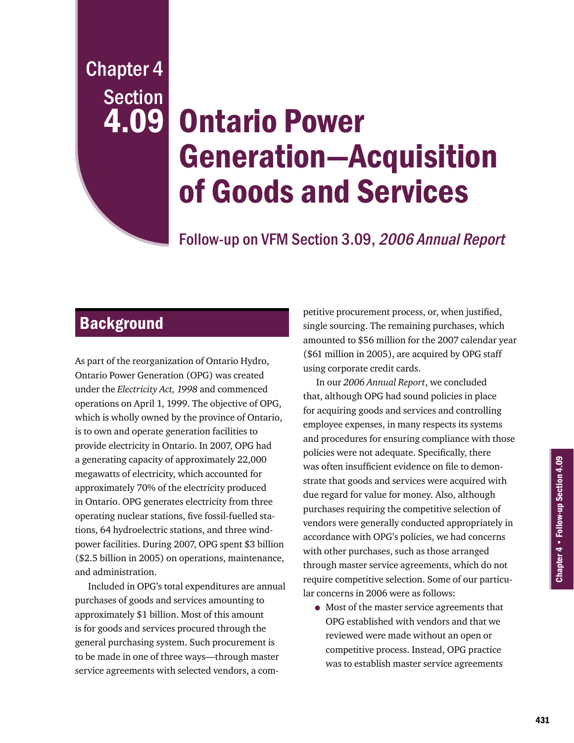Chapter 4 **Section** 4.09

# Ontario Power Generation—Acquisition of Goods and Services

Follow-up on VFM Section 3.09, 2006 Annual Report

# **Background**

As part of the reorganization of Ontario Hydro, Ontario Power Generation (OPG) was created under the *Electricity Act, 1998* and commenced operations on April 1, 1999. The objective of OPG, which is wholly owned by the province of Ontario, is to own and operate generation facilities to provide electricity in Ontario. In 2007, OPG had a generating capacity of approximately 22,000 megawatts of electricity, which accounted for approximately 70% of the electricity produced in Ontario. OPG generates electricity from three operating nuclear stations, five fossil-fuelled stations, 64 hydroelectric stations, and three windpower facilities. During 2007, OPG spent \$3 billion (\$2.5 billion in 2005) on operations, maintenance, and administration.

Included in OPG's total expenditures are annual purchases of goods and services amounting to approximately \$1 billion. Most of this amount is for goods and services procured through the general purchasing system. Such procurement is to be made in one of three ways—through master service agreements with selected vendors, a com-

petitive procurement process, or, when justified, single sourcing. The remaining purchases, which amounted to \$56 million for the 2007 calendar year (\$61 million in 2005), are acquired by OPG staff using corporate credit cards.

In our *2006 Annual Report*, we concluded that, although OPG had sound policies in place for acquiring goods and services and controlling employee expenses, in many respects its systems and procedures for ensuring compliance with those policies were not adequate. Specifically, there was often insufficient evidence on file to demonstrate that goods and services were acquired with due regard for value for money. Also, although purchases requiring the competitive selection of vendors were generally conducted appropriately in accordance with OPG's policies, we had concerns with other purchases, such as those arranged through master service agreements, which do not require competitive selection. Some of our particular concerns in 2006 were as follows:

• Most of the master service agreements that OPG established with vendors and that we reviewed were made without an open or competitive process. Instead, OPG practice was to establish master service agreements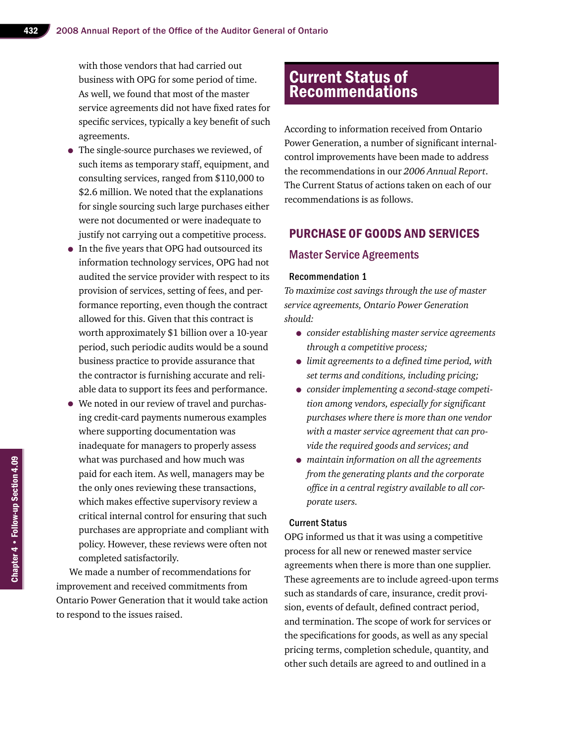with those vendors that had carried out business with OPG for some period of time. As well, we found that most of the master service agreements did not have fixed rates for specific services, typically a key benefit of such agreements.

- The single-source purchases we reviewed, of such items as temporary staff, equipment, and consulting services, ranged from \$110,000 to \$2.6 million. We noted that the explanations for single sourcing such large purchases either were not documented or were inadequate to justify not carrying out a competitive process.
- In the five years that OPG had outsourced its information technology services, OPG had not audited the service provider with respect to its provision of services, setting of fees, and performance reporting, even though the contract allowed for this. Given that this contract is worth approximately \$1 billion over a 10-year period, such periodic audits would be a sound business practice to provide assurance that the contractor is furnishing accurate and reliable data to support its fees and performance.
- We noted in our review of travel and purchasing credit-card payments numerous examples where supporting documentation was inadequate for managers to properly assess what was purchased and how much was paid for each item. As well, managers may be the only ones reviewing these transactions, which makes effective supervisory review a critical internal control for ensuring that such purchases are appropriate and compliant with policy. However, these reviews were often not completed satisfactorily.

We made a number of recommendations for improvement and received commitments from Ontario Power Generation that it would take action to respond to the issues raised.

## **Current Status of** Recommendations

According to information received from Ontario Power Generation, a number of significant internalcontrol improvements have been made to address the recommendations in our *2006 Annual Report*. The Current Status of actions taken on each of our recommendations is as follows.

## Purchase of Goods and Services

## Master Service Agreements

#### Recommendation 1

*To maximize cost savings through the use of master service agreements, Ontario Power Generation should:*

- *consider establishing master service agreements through a competitive process;*
- • *limit agreements to <sup>a</sup> defined time period, with set terms and conditions, including pricing;*
- *consider implementing a second-stage competition among vendors, especially for significant purchases where there is more than one vendor with a master service agreement that can provide the required goods and services; and*
- *maintain information on all the agreements from the generating plants and the corporate office in a central registry available to all corporate users.*

#### Current Status

OPG informed us that it was using a competitive process for all new or renewed master service agreements when there is more than one supplier. These agreements are to include agreed-upon terms such as standards of care, insurance, credit provision, events of default, defined contract period, and termination. The scope of work for services or the specifications for goods, as well as any special pricing terms, completion schedule, quantity, and other such details are agreed to and outlined in a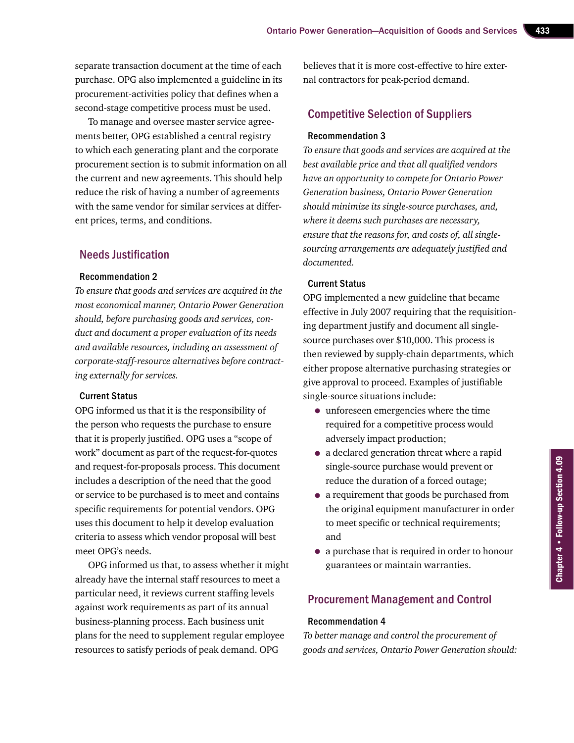separate transaction document at the time of each purchase. OPG also implemented a guideline in its procurement-activities policy that defines when a second-stage competitive process must be used.

To manage and oversee master service agreements better, OPG established a central registry to which each generating plant and the corporate procurement section is to submit information on all the current and new agreements. This should help reduce the risk of having a number of agreements with the same vendor for similar services at different prices, terms, and conditions.

## Needs Justification

#### Recommendation 2

*To ensure that goods and services are acquired in the most economical manner, Ontario Power Generation should, before purchasing goods and services, conduct and document a proper evaluation of its needs and available resources, including an assessment of corporate-staff-resource alternatives before contracting externally for services.*

#### Current Status

OPG informed us that it is the responsibility of the person who requests the purchase to ensure that it is properly justified. OPG uses a "scope of work" document as part of the request-for-quotes and request-for-proposals process. This document includes a description of the need that the good or service to be purchased is to meet and contains specific requirements for potential vendors. OPG uses this document to help it develop evaluation criteria to assess which vendor proposal will best meet OPG's needs.

OPG informed us that, to assess whether it might already have the internal staff resources to meet a particular need, it reviews current staffing levels against work requirements as part of its annual business-planning process. Each business unit plans for the need to supplement regular employee resources to satisfy periods of peak demand. OPG

believes that it is more cost-effective to hire external contractors for peak-period demand.

## Competitive Selection of Suppliers

#### Recommendation 3

*To ensure that goods and services are acquired at the best available price and that all qualified vendors have an opportunity to compete for Ontario Power Generation business, Ontario Power Generation should minimize its single-source purchases, and, where it deems such purchases are necessary, ensure that the reasons for, and costs of, all singlesourcing arrangements are adequately justified and documented.*

## Current Status

OPG implemented a new guideline that became effective in July 2007 requiring that the requisitioning department justify and document all singlesource purchases over \$10,000. This process is then reviewed by supply-chain departments, which either propose alternative purchasing strategies or give approval to proceed. Examples of justifiable single-source situations include:

- unforeseen emergencies where the time required for a competitive process would adversely impact production;
- a declared generation threat where a rapid single-source purchase would prevent or reduce the duration of a forced outage;
- a requirement that goods be purchased from the original equipment manufacturer in order to meet specific or technical requirements; and
- a purchase that is required in order to honour guarantees or maintain warranties.

## Procurement Management and Control

#### Recommendation 4

*To better manage and control the procurement of goods and services, Ontario Power Generation should:*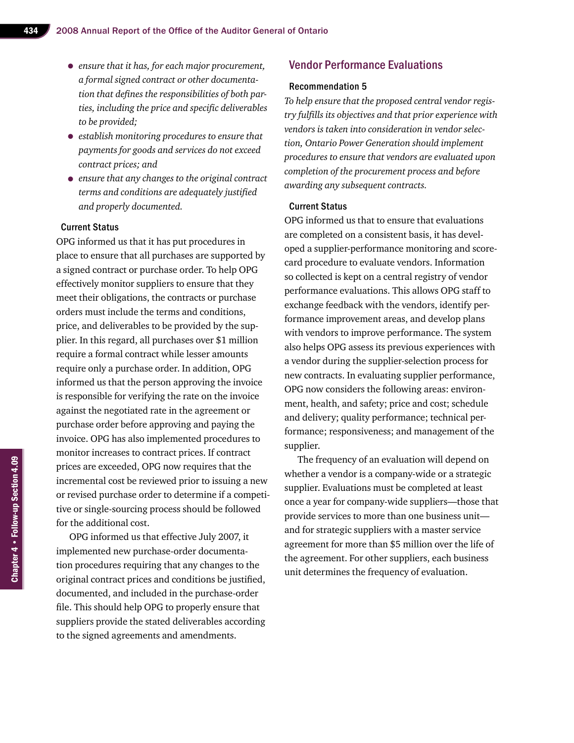- *ensure that it has, for each major procurement, a formal signed contract or other documentation that defines the responsibilities of both parties, including the price and specific deliverables to be provided;*
- *establish monitoring procedures to ensure that payments for goods and services do not exceed contract prices; and*
- *ensure that any changes to the original contract terms and conditions are adequately justified and properly documented.*

## Current Status

OPG informed us that it has put procedures in place to ensure that all purchases are supported by a signed contract or purchase order. To help OPG effectively monitor suppliers to ensure that they meet their obligations, the contracts or purchase orders must include the terms and conditions, price, and deliverables to be provided by the supplier. In this regard, all purchases over \$1 million require a formal contract while lesser amounts require only a purchase order. In addition, OPG informed us that the person approving the invoice is responsible for verifying the rate on the invoice against the negotiated rate in the agreement or purchase order before approving and paying the invoice. OPG has also implemented procedures to monitor increases to contract prices. If contract prices are exceeded, OPG now requires that the incremental cost be reviewed prior to issuing a new or revised purchase order to determine if a competitive or single-sourcing process should be followed for the additional cost.

OPG informed us that effective July 2007, it implemented new purchase-order documentation procedures requiring that any changes to the original contract prices and conditions be justified, documented, and included in the purchase-order file. This should help OPG to properly ensure that suppliers provide the stated deliverables according to the signed agreements and amendments.

## Vendor Performance Evaluations

### Recommendation 5

*To help ensure that the proposed central vendor registry fulfills its objectives and that prior experience with vendors is taken into consideration in vendor selection, Ontario Power Generation should implement procedures to ensure that vendors are evaluated upon completion of the procurement process and before awarding any subsequent contracts.*

## Current Status

OPG informed us that to ensure that evaluations are completed on a consistent basis, it has developed a supplier-performance monitoring and scorecard procedure to evaluate vendors. Information so collected is kept on a central registry of vendor performance evaluations. This allows OPG staff to exchange feedback with the vendors, identify performance improvement areas, and develop plans with vendors to improve performance. The system also helps OPG assess its previous experiences with a vendor during the supplier-selection process for new contracts. In evaluating supplier performance, OPG now considers the following areas: environment, health, and safety; price and cost; schedule and delivery; quality performance; technical performance; responsiveness; and management of the supplier.

The frequency of an evaluation will depend on whether a vendor is a company-wide or a strategic supplier. Evaluations must be completed at least once a year for company-wide suppliers—those that provide services to more than one business unit and for strategic suppliers with a master service agreement for more than \$5 million over the life of the agreement. For other suppliers, each business unit determines the frequency of evaluation.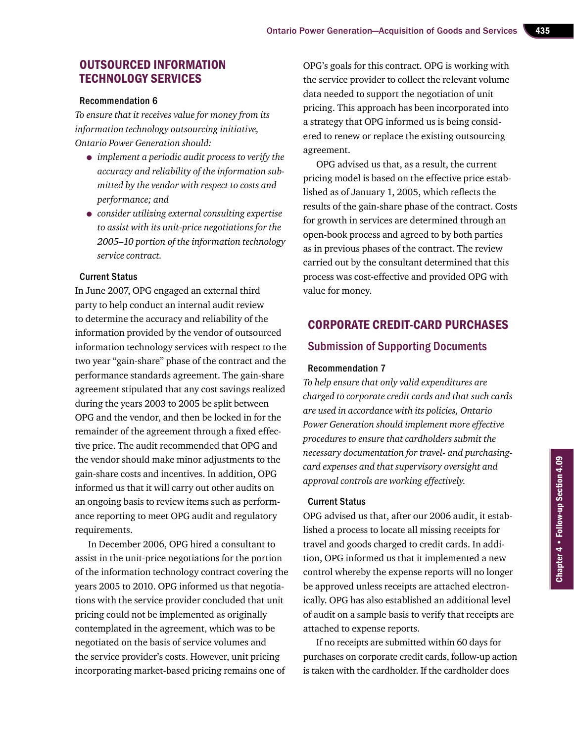## Outsourced Information Technology Services

#### Recommendation 6

*To ensure that it receives value for money from its information technology outsourcing initiative, Ontario Power Generation should:*

- *implement a periodic audit process to verify the accuracy and reliability of the information submitted by the vendor with respect to costs and performance; and*
- *consider utilizing external consulting expertise to assist with its unit-price negotiations for the 2005–10 portion of the information technology service contract.*

### Current Status

In June 2007, OPG engaged an external third party to help conduct an internal audit review to determine the accuracy and reliability of the information provided by the vendor of outsourced information technology services with respect to the two year "gain-share" phase of the contract and the performance standards agreement. The gain-share agreement stipulated that any cost savings realized during the years 2003 to 2005 be split between OPG and the vendor, and then be locked in for the remainder of the agreement through a fixed effective price. The audit recommended that OPG and the vendor should make minor adjustments to the gain-share costs and incentives. In addition, OPG informed us that it will carry out other audits on an ongoing basis to review items such as performance reporting to meet OPG audit and regulatory requirements.

In December 2006, OPG hired a consultant to assist in the unit-price negotiations for the portion of the information technology contract covering the years 2005 to 2010. OPG informed us that negotiations with the service provider concluded that unit pricing could not be implemented as originally contemplated in the agreement, which was to be negotiated on the basis of service volumes and the service provider's costs. However, unit pricing incorporating market-based pricing remains one of

OPG's goals for this contract. OPG is working with the service provider to collect the relevant volume data needed to support the negotiation of unit pricing. This approach has been incorporated into a strategy that OPG informed us is being considered to renew or replace the existing outsourcing agreement.

OPG advised us that, as a result, the current pricing model is based on the effective price established as of January 1, 2005, which reflects the results of the gain-share phase of the contract. Costs for growth in services are determined through an open-book process and agreed to by both parties as in previous phases of the contract. The review carried out by the consultant determined that this process was cost-effective and provided OPG with value for money.

## Corporate Credit-card Purchases

## Submission of Supporting Documents

## Recommendation 7

*To help ensure that only valid expenditures are charged to corporate credit cards and that such cards are used in accordance with its policies, Ontario Power Generation should implement more effective procedures to ensure that cardholders submit the necessary documentation for travel- and purchasingcard expenses and that supervisory oversight and approval controls are working effectively.*

## Current Status

OPG advised us that, after our 2006 audit, it established a process to locate all missing receipts for travel and goods charged to credit cards. In addition, OPG informed us that it implemented a new control whereby the expense reports will no longer be approved unless receipts are attached electronically. OPG has also established an additional level of audit on a sample basis to verify that receipts are attached to expense reports.

If no receipts are submitted within 60 days for purchases on corporate credit cards, follow-up action is taken with the cardholder. If the cardholder does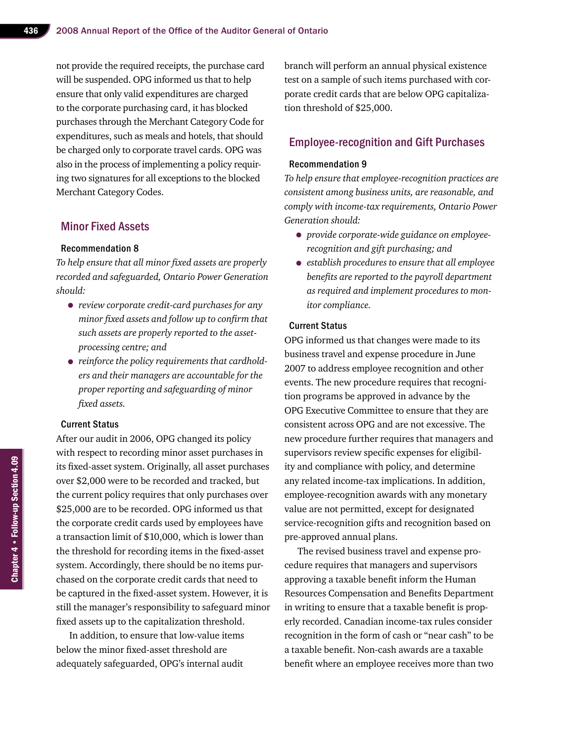not provide the required receipts, the purchase card will be suspended. OPG informed us that to help ensure that only valid expenditures are charged to the corporate purchasing card, it has blocked purchases through the Merchant Category Code for expenditures, such as meals and hotels, that should be charged only to corporate travel cards. OPG was also in the process of implementing a policy requiring two signatures for all exceptions to the blocked Merchant Category Codes.

## Minor Fixed Assets

#### Recommendation 8

*To help ensure that all minor fixed assets are properly recorded and safeguarded, Ontario Power Generation should:*

- *review corporate credit-card purchases for any minor fixed assets and follow up to confirm that such assets are properly reported to the assetprocessing centre; and*
- *reinforce the policy requirements that cardholders and their managers are accountable for the proper reporting and safeguarding of minor fixed assets.*

## Current Status

After our audit in 2006, OPG changed its policy with respect to recording minor asset purchases in its fixed-asset system. Originally, all asset purchases over \$2,000 were to be recorded and tracked, but the current policy requires that only purchases over \$25,000 are to be recorded. OPG informed us that the corporate credit cards used by employees have a transaction limit of \$10,000, which is lower than the threshold for recording items in the fixed-asset system. Accordingly, there should be no items purchased on the corporate credit cards that need to be captured in the fixed-asset system. However, it is still the manager's responsibility to safeguard minor fixed assets up to the capitalization threshold.

In addition, to ensure that low-value items below the minor fixed-asset threshold are adequately safeguarded, OPG's internal audit

branch will perform an annual physical existence test on a sample of such items purchased with corporate credit cards that are below OPG capitalization threshold of \$25,000.

## Employee-recognition and Gift Purchases

#### Recommendation 9

*To help ensure that employee-recognition practices are consistent among business units, are reasonable, and comply with income-tax requirements, Ontario Power Generation should:* 

- *provide corporate-wide guidance on employeerecognition and gift purchasing; and*
- *establish procedures to ensure that all employee benefits are reported to the payroll department as required and implement procedures to monitor compliance.*

## Current Status

OPG informed us that changes were made to its business travel and expense procedure in June 2007 to address employee recognition and other events. The new procedure requires that recognition programs be approved in advance by the OPG Executive Committee to ensure that they are consistent across OPG and are not excessive. The new procedure further requires that managers and supervisors review specific expenses for eligibility and compliance with policy, and determine any related income-tax implications. In addition, employee-recognition awards with any monetary value are not permitted, except for designated service-recognition gifts and recognition based on pre-approved annual plans.

The revised business travel and expense procedure requires that managers and supervisors approving a taxable benefit inform the Human Resources Compensation and Benefits Department in writing to ensure that a taxable benefit is properly recorded. Canadian income-tax rules consider recognition in the form of cash or "near cash" to be a taxable benefit. Non-cash awards are a taxable benefit where an employee receives more than two